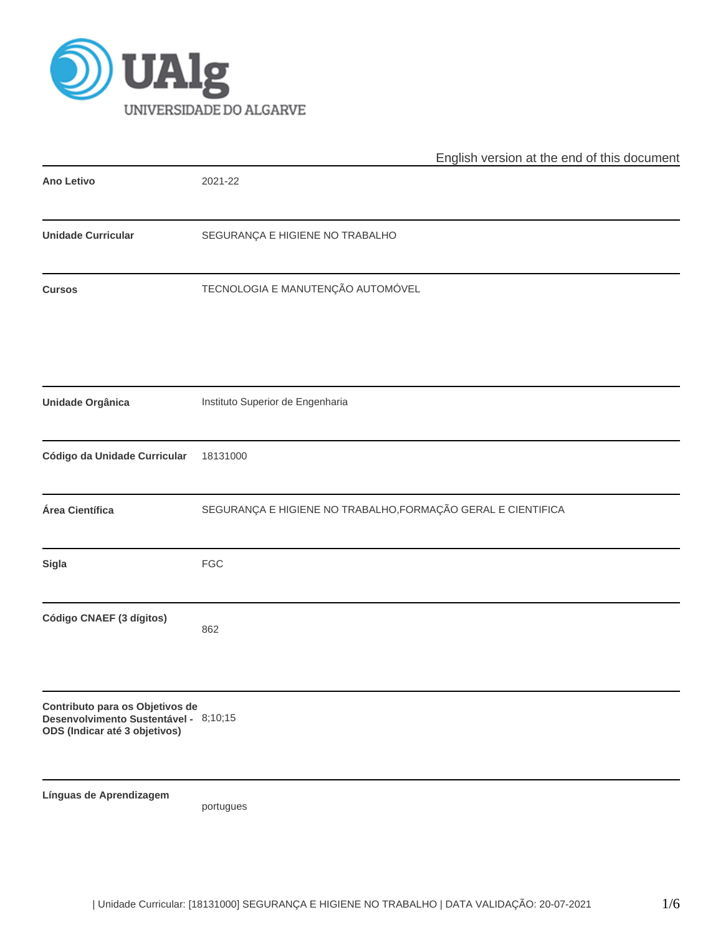

|                                                                                                           | English version at the end of this document                  |
|-----------------------------------------------------------------------------------------------------------|--------------------------------------------------------------|
| <b>Ano Letivo</b>                                                                                         | 2021-22                                                      |
| <b>Unidade Curricular</b>                                                                                 | SEGURANÇA E HIGIENE NO TRABALHO                              |
| <b>Cursos</b>                                                                                             | TECNOLOGIA E MANUTENÇÃO AUTOMÓVEL                            |
| Unidade Orgânica                                                                                          | Instituto Superior de Engenharia                             |
| Código da Unidade Curricular                                                                              | 18131000                                                     |
| Área Científica                                                                                           | SEGURANÇA E HIGIENE NO TRABALHO, FORMAÇÃO GERAL E CIENTIFICA |
| Sigla                                                                                                     | <b>FGC</b>                                                   |
| Código CNAEF (3 dígitos)                                                                                  | 862                                                          |
| Contributo para os Objetivos de<br>Desenvolvimento Sustentável - 8;10;15<br>ODS (Indicar até 3 objetivos) |                                                              |
| Línguas de Aprendizagem                                                                                   | portugues                                                    |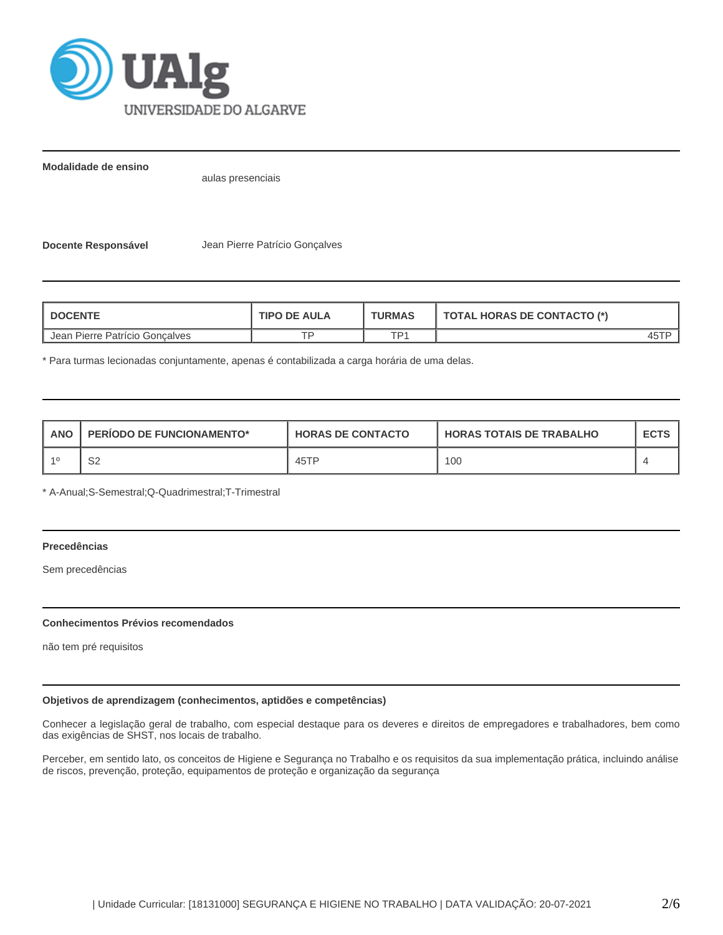

**Modalidade de ensino**

aulas presenciais

**Docente Responsável** Jean Pierre Patrício Gonçalves

| <b>DOCENTE</b>                 | <b>TIPO DE AULA</b> | <b>TURMAS</b> | <b>TOTAL HORAS DE CONTACTO (*)</b> |  |  |
|--------------------------------|---------------------|---------------|------------------------------------|--|--|
| Jean Pierre Patrício Goncalves |                     | TD1           |                                    |  |  |

\* Para turmas lecionadas conjuntamente, apenas é contabilizada a carga horária de uma delas.

| <b>ANO</b> | <b>PERIODO DE FUNCIONAMENTO*</b> | <b>HORAS DE CONTACTO</b> | <b>HORAS TOTAIS DE TRABALHO</b> | <b>ECTS</b> |
|------------|----------------------------------|--------------------------|---------------------------------|-------------|
|            | ∩∩<br>ےت                         | 45TP                     | 100                             |             |

\* A-Anual;S-Semestral;Q-Quadrimestral;T-Trimestral

# **Precedências**

Sem precedências

### **Conhecimentos Prévios recomendados**

não tem pré requisitos

# **Objetivos de aprendizagem (conhecimentos, aptidões e competências)**

Conhecer a legislação geral de trabalho, com especial destaque para os deveres e direitos de empregadores e trabalhadores, bem como das exigências de SHST, nos locais de trabalho.

Perceber, em sentido lato, os conceitos de Higiene e Segurança no Trabalho e os requisitos da sua implementação prática, incluindo análise de riscos, prevenção, proteção, equipamentos de proteção e organização da segurança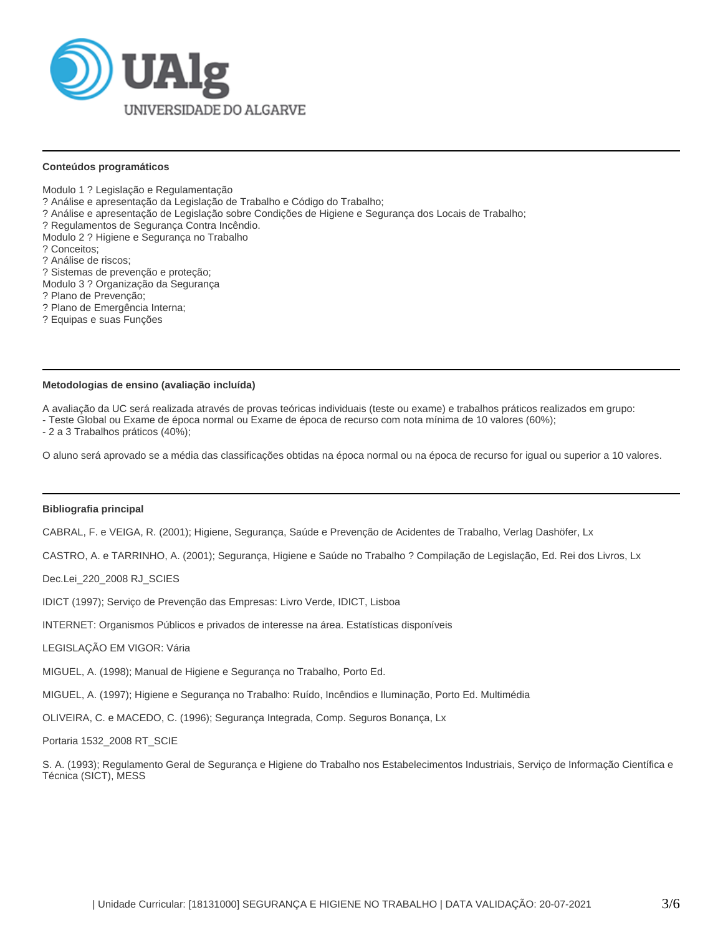

#### **Conteúdos programáticos**

Modulo 1 ? Legislação e Regulamentação

? Análise e apresentação da Legislação de Trabalho e Código do Trabalho;

? Análise e apresentação de Legislação sobre Condições de Higiene e Segurança dos Locais de Trabalho;

? Regulamentos de Segurança Contra Incêndio.

Modulo 2 ? Higiene e Segurança no Trabalho

? Conceitos;

? Análise de riscos;

- ? Sistemas de prevenção e proteção;
- Modulo 3 ? Organização da Segurança
- ? Plano de Prevenção;
- ? Plano de Emergência Interna;
- ? Equipas e suas Funções

#### **Metodologias de ensino (avaliação incluída)**

A avaliação da UC será realizada através de provas teóricas individuais (teste ou exame) e trabalhos práticos realizados em grupo:

- Teste Global ou Exame de época normal ou Exame de época de recurso com nota mínima de 10 valores (60%);

- 2 a 3 Trabalhos práticos (40%);

O aluno será aprovado se a média das classificações obtidas na época normal ou na época de recurso for igual ou superior a 10 valores.

# **Bibliografia principal**

CABRAL, F. e VEIGA, R. (2001); Higiene, Segurança, Saúde e Prevenção de Acidentes de Trabalho, Verlag Dashöfer, Lx

CASTRO, A. e TARRINHO, A. (2001); Segurança, Higiene e Saúde no Trabalho ? Compilação de Legislação, Ed. Rei dos Livros, Lx

Dec.Lei\_220\_2008 RJ\_SCIES

IDICT (1997); Serviço de Prevenção das Empresas: Livro Verde, IDICT, Lisboa

INTERNET: Organismos Públicos e privados de interesse na área. Estatísticas disponíveis

LEGISLAÇÃO EM VIGOR: Vária

MIGUEL, A. (1998); Manual de Higiene e Segurança no Trabalho, Porto Ed.

MIGUEL, A. (1997); Higiene e Segurança no Trabalho: Ruído, Incêndios e Iluminação, Porto Ed. Multimédia

OLIVEIRA, C. e MACEDO, C. (1996); Segurança Integrada, Comp. Seguros Bonança, Lx

Portaria 1532\_2008 RT\_SCIE

S. A. (1993); Regulamento Geral de Segurança e Higiene do Trabalho nos Estabelecimentos Industriais, Serviço de Informação Científica e Técnica (SICT), MESS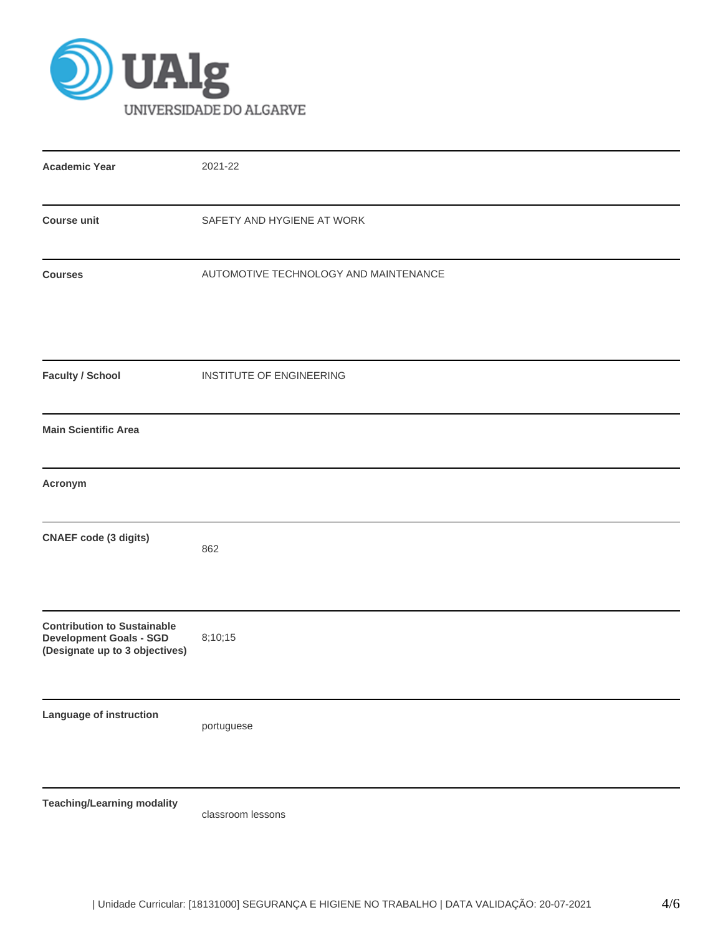

| <b>Academic Year</b>                                                 | 2021-22                               |  |  |  |  |
|----------------------------------------------------------------------|---------------------------------------|--|--|--|--|
|                                                                      |                                       |  |  |  |  |
| <b>Course unit</b>                                                   | SAFETY AND HYGIENE AT WORK            |  |  |  |  |
|                                                                      |                                       |  |  |  |  |
| <b>Courses</b>                                                       | AUTOMOTIVE TECHNOLOGY AND MAINTENANCE |  |  |  |  |
|                                                                      |                                       |  |  |  |  |
|                                                                      |                                       |  |  |  |  |
|                                                                      |                                       |  |  |  |  |
| <b>Faculty / School</b>                                              | INSTITUTE OF ENGINEERING              |  |  |  |  |
|                                                                      |                                       |  |  |  |  |
| <b>Main Scientific Area</b>                                          |                                       |  |  |  |  |
|                                                                      |                                       |  |  |  |  |
| Acronym                                                              |                                       |  |  |  |  |
|                                                                      |                                       |  |  |  |  |
| <b>CNAEF</b> code (3 digits)                                         |                                       |  |  |  |  |
|                                                                      | 862                                   |  |  |  |  |
|                                                                      |                                       |  |  |  |  |
|                                                                      |                                       |  |  |  |  |
| <b>Contribution to Sustainable</b><br><b>Development Goals - SGD</b> | 8;10;15                               |  |  |  |  |
| (Designate up to 3 objectives)                                       |                                       |  |  |  |  |
|                                                                      |                                       |  |  |  |  |
| Language of instruction                                              |                                       |  |  |  |  |
|                                                                      | portuguese                            |  |  |  |  |
|                                                                      |                                       |  |  |  |  |
|                                                                      |                                       |  |  |  |  |
| <b>Teaching/Learning modality</b>                                    |                                       |  |  |  |  |

classroom lessons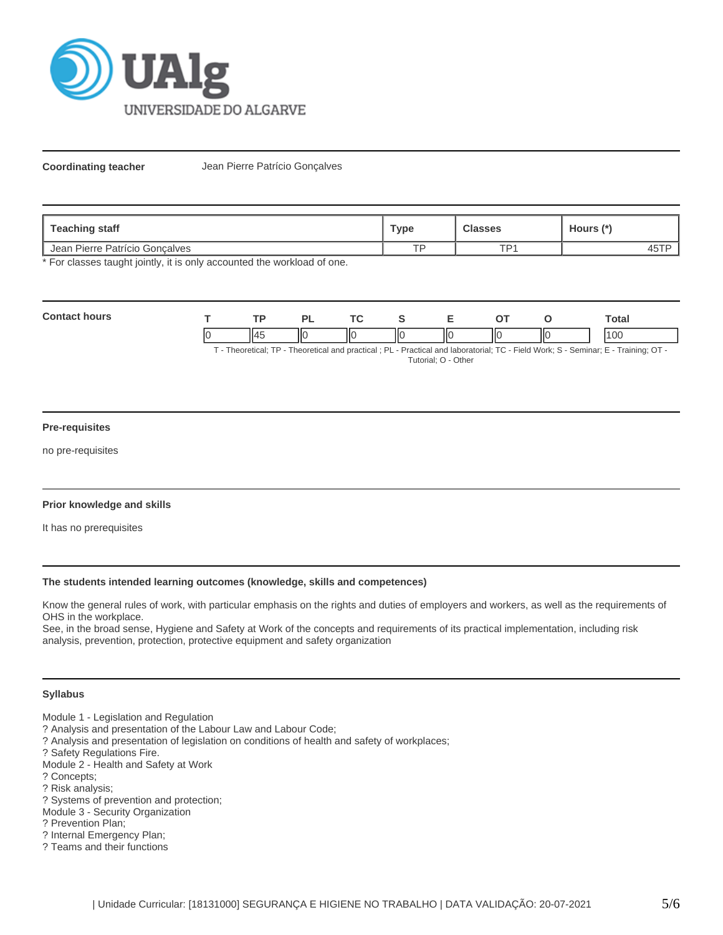

**Coordinating teacher** Jean Pierre Patrício Gonçalves

| <b>Teaching staff</b>          | Туре      | <b>Classes</b>  | Hours (*) |  |
|--------------------------------|-----------|-----------------|-----------|--|
| Jean Pierre Patrício Goncalves | <b>TD</b> | TD <sub>1</sub> | 45 I      |  |

\* For classes taught jointly, it is only accounted the workload of one.

| Cont |    | <b>TD</b> |    | <b>Trea</b> |    |    | <b>otal</b>   |
|------|----|-----------|----|-------------|----|----|---------------|
|      | IC |           | ШC | ΙЮ          | ШC | IЮ | <sub>00</sub> |

T - Theoretical; TP - Theoretical and practical ; PL - Practical and laboratorial; TC - Field Work; S - Seminar; E - Training; OT - Tutorial; O - Other

### **Pre-requisites**

no pre-requisites

### **Prior knowledge and skills**

It has no prerequisites

### **The students intended learning outcomes (knowledge, skills and competences)**

Know the general rules of work, with particular emphasis on the rights and duties of employers and workers, as well as the requirements of OHS in the workplace.

See, in the broad sense, Hygiene and Safety at Work of the concepts and requirements of its practical implementation, including risk analysis, prevention, protection, protective equipment and safety organization

# **Syllabus**

- Module 1 Legislation and Regulation
- ? Analysis and presentation of the Labour Law and Labour Code;
- ? Analysis and presentation of legislation on conditions of health and safety of workplaces;
- ? Safety Regulations Fire.

Module 2 - Health and Safety at Work

- ? Concepts;
- ? Risk analysis;
- ? Systems of prevention and protection;
- Module 3 Security Organization
- ? Prevention Plan;
- ? Internal Emergency Plan;
- ? Teams and their functions